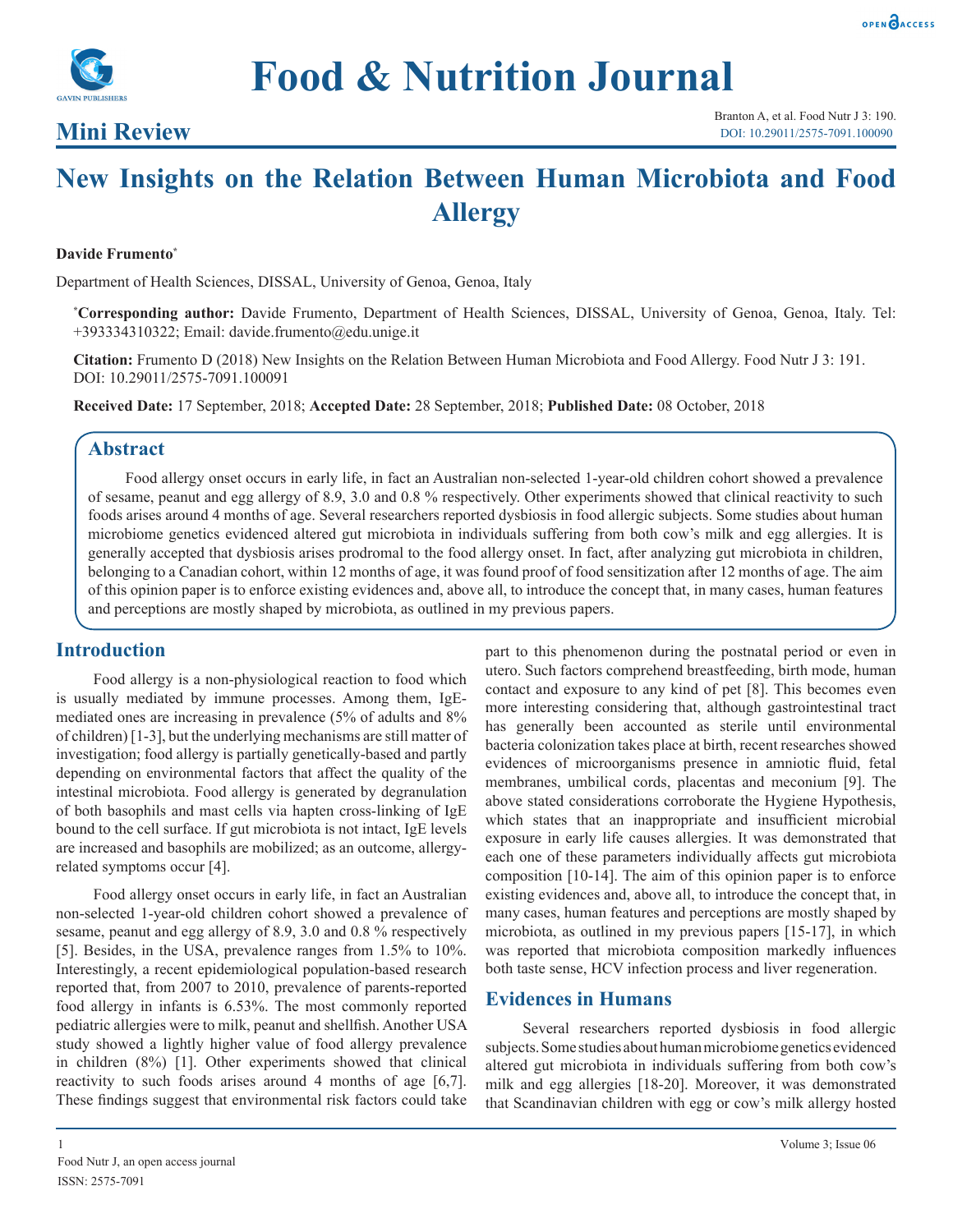



# **Mini Review**

# **New Insights on the Relation Between Human Microbiota and Food Allergy**

#### **Davide Frumento\***

Department of Health Sciences, DISSAL, University of Genoa, Genoa, Italy

**\* Corresponding author:** Davide Frumento, Department of Health Sciences, DISSAL, University of Genoa, Genoa, Italy. Tel: +393334310322; Email: davide.frumento@edu.unige.it

**Citation:** Frumento D (2018) New Insights on the Relation Between Human Microbiota and Food Allergy. Food Nutr J 3: 191. DOI: 10.29011/2575-7091.100091

**Received Date:** 17 September, 2018; **Accepted Date:** 28 September, 2018; **Published Date:** 08 October, 2018

#### **Abstract**

Food allergy onset occurs in early life, in fact an Australian non-selected 1-year-old children cohort showed a prevalence of sesame, peanut and egg allergy of 8.9, 3.0 and 0.8 % respectively. Other experiments showed that clinical reactivity to such foods arises around 4 months of age. Several researchers reported dysbiosis in food allergic subjects. Some studies about human microbiome genetics evidenced altered gut microbiota in individuals suffering from both cow's milk and egg allergies. It is generally accepted that dysbiosis arises prodromal to the food allergy onset. In fact, after analyzing gut microbiota in children, belonging to a Canadian cohort, within 12 months of age, it was found proof of food sensitization after 12 months of age. The aim of this opinion paper is to enforce existing evidences and, above all, to introduce the concept that, in many cases, human features and perceptions are mostly shaped by microbiota, as outlined in my previous papers.

## **Introduction**

Food allergy is a non-physiological reaction to food which is usually mediated by immune processes. Among them, IgEmediated ones are increasing in prevalence (5% of adults and 8% of children) [1-3], but the underlying mechanisms are still matter of investigation; food allergy is partially genetically-based and partly depending on environmental factors that affect the quality of the intestinal microbiota. Food allergy is generated by degranulation of both basophils and mast cells via hapten cross-linking of IgE bound to the cell surface. If gut microbiota is not intact, IgE levels are increased and basophils are mobilized; as an outcome, allergyrelated symptoms occur [4].

Food allergy onset occurs in early life, in fact an Australian non-selected 1-year-old children cohort showed a prevalence of sesame, peanut and egg allergy of 8.9, 3.0 and 0.8 % respectively [5]. Besides, in the USA, prevalence ranges from 1.5% to 10%. Interestingly, a recent epidemiological population-based research reported that, from 2007 to 2010, prevalence of parents-reported food allergy in infants is 6.53%. The most commonly reported pediatric allergies were to milk, peanut and shellfish. Another USA study showed a lightly higher value of food allergy prevalence in children (8%) [1]. Other experiments showed that clinical reactivity to such foods arises around 4 months of age [6,7]. These findings suggest that environmental risk factors could take

part to this phenomenon during the postnatal period or even in utero. Such factors comprehend breastfeeding, birth mode, human contact and exposure to any kind of pet [8]. This becomes even more interesting considering that, although gastrointestinal tract has generally been accounted as sterile until environmental bacteria colonization takes place at birth, recent researches showed evidences of microorganisms presence in amniotic fluid, [fetal](https://www.sciencedirect.com/topics/medicine-and-dentistry/fetal-membrane) [membranes](https://www.sciencedirect.com/topics/medicine-and-dentistry/fetal-membrane), umbilical cords, [placentas](https://www.sciencedirect.com/topics/medicine-and-dentistry/placenta) and meconium [9]. The above stated considerations corroborate the Hygiene Hypothesis, which states that an inappropriate and insufficient microbial exposure in early life causes allergies. It was demonstrated that each one of these parameters individually affects gut microbiota composition [10-14]. The aim of this opinion paper is to enforce existing evidences and, above all, to introduce the concept that, in many cases, human features and perceptions are mostly shaped by microbiota, as outlined in my previous papers [15-17], in which was reported that microbiota composition markedly influences both taste sense, HCV infection process and liver regeneration.

#### **Evidences in Humans**

Several researchers reported dysbiosis in food allergic subjects. Some studies about human microbiome genetics evidenced altered gut microbiota in individuals suffering from both cow's milk and egg allergies [18-20]. Moreover, it was demonstrated that Scandinavian children with egg or cow's milk allergy hosted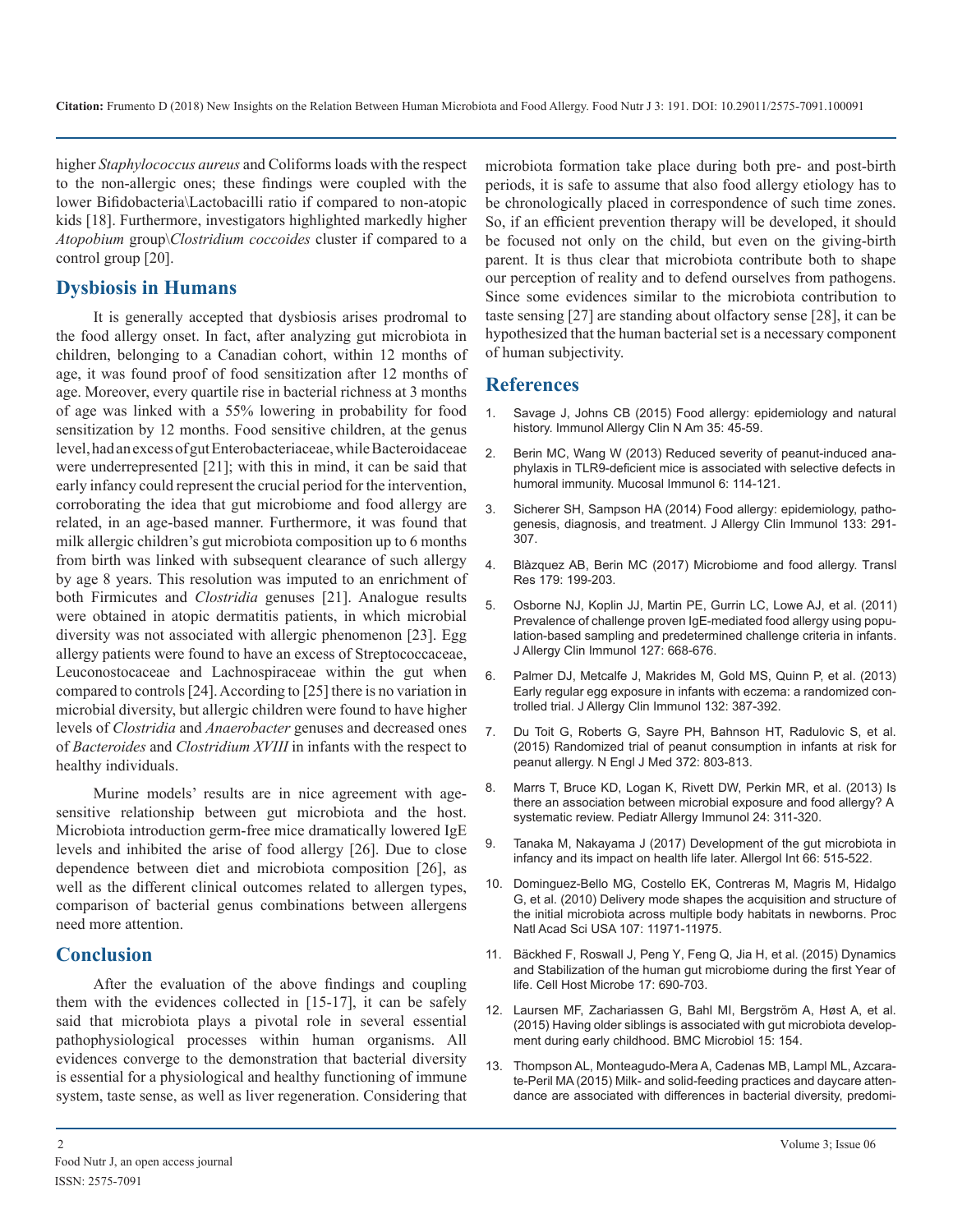higher *Staphylococcus aureus* and Coliforms loads with the respect to the non-allergic ones; these findings were coupled with the lower Bifidobacteria\Lactobacilli ratio if compared to non-atopic kids [18]. Furthermore, investigators highlighted markedly higher *Atopobium* group\*Clostridium coccoides* cluster if compared to a control group [20].

## **Dysbiosis in Humans**

It is generally accepted that dysbiosis arises prodromal to the food allergy onset. In fact, after analyzing gut microbiota in children, belonging to a Canadian cohort, within 12 months of age, it was found proof of food sensitization after 12 months of age. Moreover, every quartile rise in bacterial richness at 3 months of age was linked with a 55% lowering in probability for food sensitization by 12 months. Food sensitive children, at the genus level, had an excess of gut Enterobacteriaceae, while Bacteroidaceae were underrepresented [21]; with this in mind, it can be said that early infancy could represent the crucial period for the intervention, corroborating the idea that gut microbiome and food allergy are related, in an age-based manner. Furthermore, it was found that milk allergic children's gut microbiota composition up to 6 months from birth was linked with subsequent clearance of such allergy by age 8 years. This resolution was imputed to an enrichment of both Firmicutes and *Clostridia* genuses [21]. Analogue results were obtained in atopic dermatitis patients, in which microbial diversity was not associated with allergic phenomenon [23]. Egg allergy patients were found to have an excess of Streptococcaceae, Leuconostocaceae and Lachnospiraceae within the gut when compared to controls [24]. According to [25] there is no variation in microbial diversity, but allergic children were found to have higher levels of *Clostridia* and *Anaerobacter* genuses and decreased ones of *Bacteroides* and *Clostridium XVIII* in infants with the respect to healthy individuals.

Murine models' results are in nice agreement with agesensitive relationship between gut microbiota and the host. Microbiota introduction germ-free mice dramatically lowered IgE levels and inhibited the arise of food allergy [26]. Due to close dependence between diet and microbiota composition [26], as well as the different clinical outcomes related to allergen types, comparison of bacterial genus combinations between allergens need more attention.

#### **Conclusion**

After the evaluation of the above findings and coupling them with the evidences collected in [15-17], it can be safely said that microbiota plays a pivotal role in several essential pathophysiological processes within human organisms. All evidences converge to the demonstration that bacterial diversity is essential for a physiological and healthy functioning of immune system, taste sense, as well as liver regeneration. Considering that

microbiota formation take place during both pre- and post-birth periods, it is safe to assume that also food allergy etiology has to be chronologically placed in correspondence of such time zones. So, if an efficient prevention therapy will be developed, it should be focused not only on the child, but even on the giving-birth parent. It is thus clear that microbiota contribute both to shape our perception of reality and to defend ourselves from pathogens. Since some evidences similar to the microbiota contribution to taste sensing [27] are standing about olfactory sense [28], it can be hypothesized that the human bacterial set is a necessary component of human subjectivity.

#### **References**

- 1. [Savage J, Johns CB \(2015\) Food allergy: epidemiology and natural](https://www.ncbi.nlm.nih.gov/pubmed/25459576)  history. Immunol Allergy Clin N Am 35: 45-59.
- 2. [Berin MC, Wang W \(2013\) Reduced severity of peanut-induced ana](https://www.ncbi.nlm.nih.gov/pubmed/22718261)phylaxis in TLR9-deficient mice is associated with selective defects in [humoral immunity. Mucosal Immunol 6: 114-121.](https://www.ncbi.nlm.nih.gov/pubmed/22718261)
- 3. [Sicherer SH, Sampson HA \(2014\) Food allergy: epidemiology, patho](https://www.ncbi.nlm.nih.gov/pubmed/24388012)genesis, diagnosis, and treatment. J Allergy Clin Immunol 133: 291- [307.](https://www.ncbi.nlm.nih.gov/pubmed/24388012)
- 4. [Blàzquez AB, Berin MC \(2017\) Microbiome and food allergy. Transl](https://www.ncbi.nlm.nih.gov/pubmed/27686718) [Res 179: 199-203.](https://www.ncbi.nlm.nih.gov/pubmed/27686718)
- 5. [Osborne NJ, Koplin JJ, Martin PE, Gurrin LC, Lowe AJ, et al. \(2011\)](https://www.ncbi.nlm.nih.gov/pubmed/21377036)  Prevalence of challenge proven IgE-mediated food allergy using popu[lation-based sampling and predetermined challenge criteria in infants.](https://www.ncbi.nlm.nih.gov/pubmed/21377036)  [J Allergy Clin Immunol 127: 668-676.](https://www.ncbi.nlm.nih.gov/pubmed/21377036)
- 6. [Palmer DJ, Metcalfe J, Makrides M, Gold MS, Quinn P, et al. \(2013\)](https://www.ncbi.nlm.nih.gov/pubmed/23810152)  Early regular egg exposure in infants with eczema: a randomized con[trolled trial. J Allergy Clin Immunol 132: 387-392.](https://www.ncbi.nlm.nih.gov/pubmed/23810152)
- 7. [Du Toit G, Roberts G, Sayre PH, Bahnson HT, Radulovic S, et al.](https://www.nejm.org/doi/full/10.1056/NEJMoa1414850)  (2015) Randomized trial of peanut consumption in infants at risk for [peanut allergy. N Engl J Med 372: 803-813.](https://www.nejm.org/doi/full/10.1056/NEJMoa1414850)
- 8. [Marrs T, Bruce KD, Logan K, Rivett DW, Perkin MR, et al. \(2013\) Is](https://www.ncbi.nlm.nih.gov/pubmed/23578298)  there an association between microbial exposure and food allergy? A [systematic review. Pediatr Allergy Immunol 24: 311-320](https://www.ncbi.nlm.nih.gov/pubmed/23578298).
- 9. [Tanaka M, Nakayama J \(2017\) Development of the gut microbiota in](https://www.ncbi.nlm.nih.gov/pubmed/28826938)  infancy and its impact on health life later. Allergol Int 66: 515-522.
- 10. [Dominguez-Bello MG, Costello EK, Contreras M, Magris M, Hidalgo](https://www.ncbi.nlm.nih.gov/pubmed/20566857)  G, et al. (2010) Delivery mode shapes the acquisition and structure of [the initial microbiota across multiple body habitats in newborns. Proc](https://www.ncbi.nlm.nih.gov/pubmed/20566857)  [Natl Acad Sci USA 107: 11971-11975.](https://www.ncbi.nlm.nih.gov/pubmed/20566857)
- 11. [Bäckhed F, Roswall J, Peng Y, Feng Q, Jia H, et al. \(2015\) Dynamics](https://www.ncbi.nlm.nih.gov/pubmed/25974306)  and Stabilization of the human gut microbiome during the first Year of [life. Cell Host Microbe 17: 690-703.](https://www.ncbi.nlm.nih.gov/pubmed/25974306)
- 12. [Laursen MF, Zachariassen G, Bahl MI, Bergström A, Høst A, et al.](https://bmcmicrobiol.biomedcentral.com/articles/10.1186/s12866-015-0477-6)  (2015) Having older siblings is associated with gut microbiota develop[ment during early childhood. BMC Microbiol 15: 154.](https://bmcmicrobiol.biomedcentral.com/articles/10.1186/s12866-015-0477-6)
- 13. [Thompson AL, Monteagudo-Mera A, Cadenas MB, Lampl ML, Azcara](https://www.ncbi.nlm.nih.gov/pubmed/25705611)te-Peril MA (2015) Milk- and solid-feeding practices and daycare atten[dance are associated with differences in bacterial diversity, predomi](https://www.ncbi.nlm.nih.gov/pubmed/25705611)-